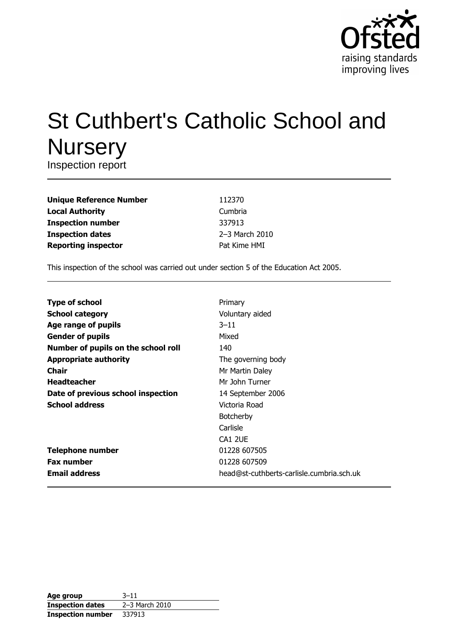

# **St Cuthbert's Catholic School and Nursery**

Inspection report

| <b>Unique Reference Number</b> |
|--------------------------------|
| <b>Local Authority</b>         |
| <b>Inspection number</b>       |
| <b>Inspection dates</b>        |
| <b>Reporting inspector</b>     |

112370 Cumbria 337913 2-3 March 2010 Pat Kime HMI

This inspection of the school was carried out under section 5 of the Education Act 2005.

| <b>Type of school</b>               | Primary                                   |
|-------------------------------------|-------------------------------------------|
| <b>School category</b>              | Voluntary aided                           |
| Age range of pupils                 | $3 - 11$                                  |
| <b>Gender of pupils</b>             | Mixed                                     |
| Number of pupils on the school roll | 140                                       |
| <b>Appropriate authority</b>        | The governing body                        |
| Chair                               | Mr Martin Daley                           |
| <b>Headteacher</b>                  | Mr John Turner                            |
| Date of previous school inspection  | 14 September 2006                         |
| <b>School address</b>               | Victoria Road                             |
|                                     | <b>Botcherby</b>                          |
|                                     | Carlisle                                  |
|                                     | CA1 2UE                                   |
| <b>Telephone number</b>             | 01228 607505                              |
| <b>Fax number</b>                   | 01228 607509                              |
| <b>Email address</b>                | head@st-cuthberts-carlisle.cumbria.sch.uk |

| Age group                | $3 - 11$       |
|--------------------------|----------------|
| <b>Inspection dates</b>  | 2-3 March 2010 |
| <b>Inspection number</b> | 337913         |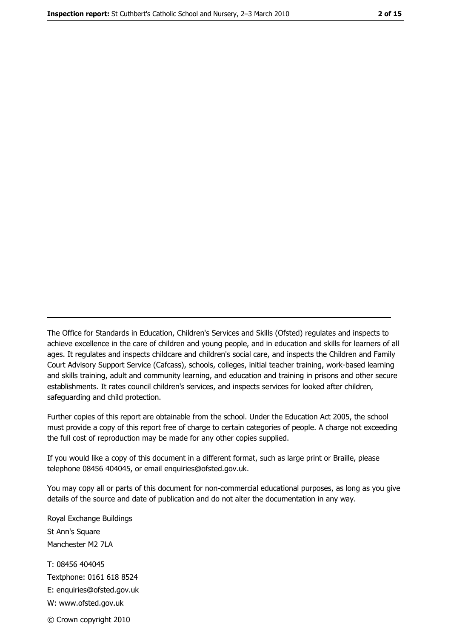The Office for Standards in Education, Children's Services and Skills (Ofsted) regulates and inspects to achieve excellence in the care of children and young people, and in education and skills for learners of all ages. It regulates and inspects childcare and children's social care, and inspects the Children and Family Court Advisory Support Service (Cafcass), schools, colleges, initial teacher training, work-based learning and skills training, adult and community learning, and education and training in prisons and other secure establishments. It rates council children's services, and inspects services for looked after children, safequarding and child protection.

Further copies of this report are obtainable from the school. Under the Education Act 2005, the school must provide a copy of this report free of charge to certain categories of people. A charge not exceeding the full cost of reproduction may be made for any other copies supplied.

If you would like a copy of this document in a different format, such as large print or Braille, please telephone 08456 404045, or email enquiries@ofsted.gov.uk.

You may copy all or parts of this document for non-commercial educational purposes, as long as you give details of the source and date of publication and do not alter the documentation in any way.

Royal Exchange Buildings St Ann's Square Manchester M2 7LA T: 08456 404045 Textphone: 0161 618 8524 E: enquiries@ofsted.gov.uk W: www.ofsted.gov.uk © Crown copyright 2010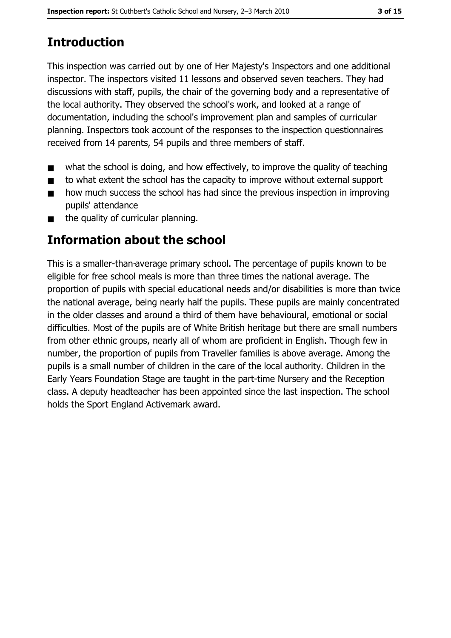# **Introduction**

This inspection was carried out by one of Her Majesty's Inspectors and one additional inspector. The inspectors visited 11 lessons and observed seven teachers. They had discussions with staff, pupils, the chair of the governing body and a representative of the local authority. They observed the school's work, and looked at a range of documentation, including the school's improvement plan and samples of curricular planning. Inspectors took account of the responses to the inspection questionnaires received from 14 parents, 54 pupils and three members of staff.

- what the school is doing, and how effectively, to improve the quality of teaching  $\blacksquare$
- to what extent the school has the capacity to improve without external support  $\blacksquare$
- how much success the school has had since the previous inspection in improving  $\blacksquare$ pupils' attendance
- the quality of curricular planning.  $\blacksquare$

## Information about the school

This is a smaller-than-average primary school. The percentage of pupils known to be eligible for free school meals is more than three times the national average. The proportion of pupils with special educational needs and/or disabilities is more than twice the national average, being nearly half the pupils. These pupils are mainly concentrated in the older classes and around a third of them have behavioural, emotional or social difficulties. Most of the pupils are of White British heritage but there are small numbers from other ethnic groups, nearly all of whom are proficient in English. Though few in number, the proportion of pupils from Traveller families is above average. Among the pupils is a small number of children in the care of the local authority. Children in the Early Years Foundation Stage are taught in the part-time Nursery and the Reception class. A deputy headteacher has been appointed since the last inspection. The school holds the Sport England Activemark award.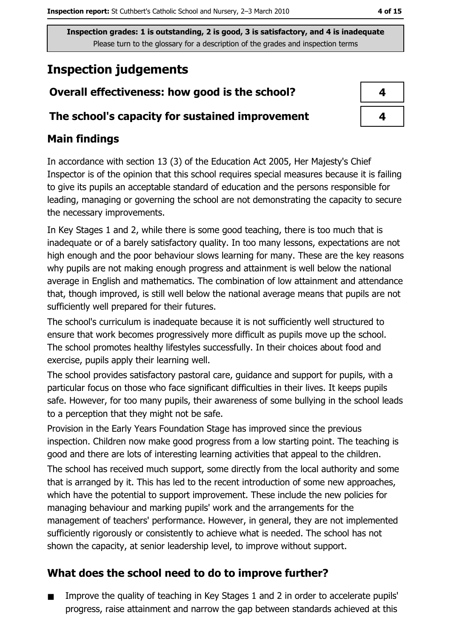## **Inspection judgements**

## Overall effectiveness: how good is the school?

#### The school's capacity for sustained improvement

## **Main findings**

In accordance with section 13 (3) of the Education Act 2005, Her Majesty's Chief Inspector is of the opinion that this school requires special measures because it is failing to give its pupils an acceptable standard of education and the persons responsible for leading, managing or governing the school are not demonstrating the capacity to secure the necessary improvements.

In Key Stages 1 and 2, while there is some good teaching, there is too much that is inadequate or of a barely satisfactory quality. In too many lessons, expectations are not high enough and the poor behaviour slows learning for many. These are the key reasons why pupils are not making enough progress and attainment is well below the national average in English and mathematics. The combination of low attainment and attendance that, though improved, is still well below the national average means that pupils are not sufficiently well prepared for their futures.

The school's curriculum is inadequate because it is not sufficiently well structured to ensure that work becomes progressively more difficult as pupils move up the school. The school promotes healthy lifestyles successfully. In their choices about food and exercise, pupils apply their learning well.

The school provides satisfactory pastoral care, guidance and support for pupils, with a particular focus on those who face significant difficulties in their lives. It keeps pupils safe. However, for too many pupils, their awareness of some bullying in the school leads to a perception that they might not be safe.

Provision in the Early Years Foundation Stage has improved since the previous inspection. Children now make good progress from a low starting point. The teaching is good and there are lots of interesting learning activities that appeal to the children.

The school has received much support, some directly from the local authority and some that is arranged by it. This has led to the recent introduction of some new approaches, which have the potential to support improvement. These include the new policies for managing behaviour and marking pupils' work and the arrangements for the management of teachers' performance. However, in general, they are not implemented sufficiently rigorously or consistently to achieve what is needed. The school has not shown the capacity, at senior leadership level, to improve without support.

## What does the school need to do to improve further?

Improve the quality of teaching in Key Stages 1 and 2 in order to accelerate pupils'  $\blacksquare$ progress, raise attainment and narrow the gap between standards achieved at this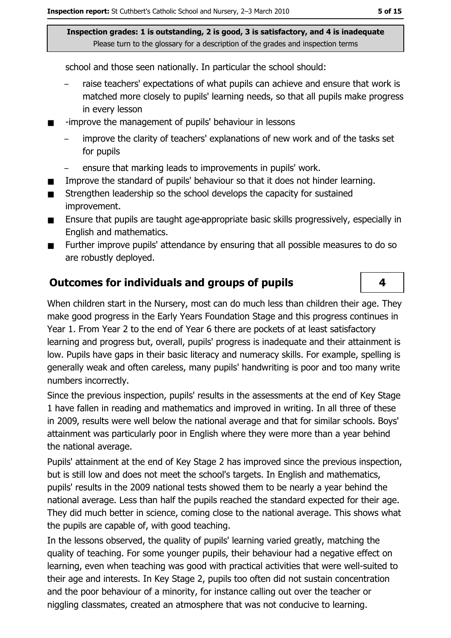school and those seen nationally. In particular the school should:

- raise teachers' expectations of what pupils can achieve and ensure that work is matched more closely to pupils' learning needs, so that all pupils make progress in every lesson
- -improve the management of pupils' behaviour in lessons
	- improve the clarity of teachers' explanations of new work and of the tasks set for pupils
	- ensure that marking leads to improvements in pupils' work.
- Improve the standard of pupils' behaviour so that it does not hinder learning.  $\blacksquare$
- $\blacksquare$ Strengthen leadership so the school develops the capacity for sustained improvement.
- Ensure that pupils are taught age-appropriate basic skills progressively, especially in  $\blacksquare$ English and mathematics.
- Further improve pupils' attendance by ensuring that all possible measures to do so  $\blacksquare$ are robustly deployed.

## **Outcomes for individuals and groups of pupils**

When children start in the Nursery, most can do much less than children their age. They make good progress in the Early Years Foundation Stage and this progress continues in Year 1. From Year 2 to the end of Year 6 there are pockets of at least satisfactory learning and progress but, overall, pupils' progress is inadequate and their attainment is low. Pupils have gaps in their basic literacy and numeracy skills. For example, spelling is generally weak and often careless, many pupils' handwriting is poor and too many write numbers incorrectly.

Since the previous inspection, pupils' results in the assessments at the end of Key Stage 1 have fallen in reading and mathematics and improved in writing. In all three of these in 2009, results were well below the national average and that for similar schools. Boys' attainment was particularly poor in English where they were more than a year behind the national average.

Pupils' attainment at the end of Key Stage 2 has improved since the previous inspection, but is still low and does not meet the school's targets. In English and mathematics, pupils' results in the 2009 national tests showed them to be nearly a year behind the national average. Less than half the pupils reached the standard expected for their age. They did much better in science, coming close to the national average. This shows what the pupils are capable of, with good teaching.

In the lessons observed, the quality of pupils' learning varied greatly, matching the quality of teaching. For some younger pupils, their behaviour had a negative effect on learning, even when teaching was good with practical activities that were well-suited to their age and interests. In Key Stage 2, pupils too often did not sustain concentration and the poor behaviour of a minority, for instance calling out over the teacher or niggling classmates, created an atmosphere that was not conducive to learning.

4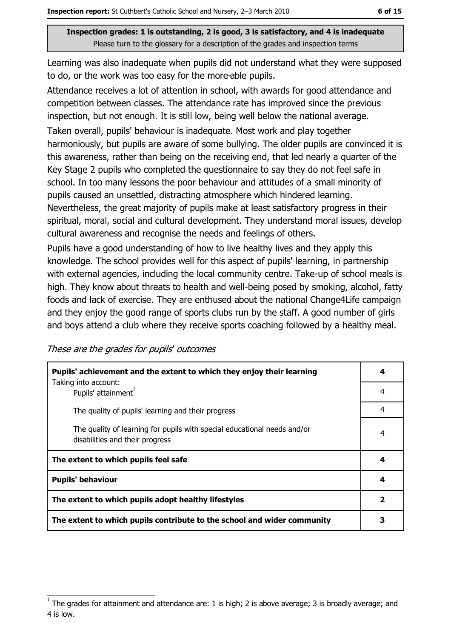Learning was also inadequate when pupils did not understand what they were supposed to do, or the work was too easy for the more-able pupils.

Attendance receives a lot of attention in school, with awards for good attendance and competition between classes. The attendance rate has improved since the previous inspection, but not enough. It is still low, being well below the national average.

Taken overall, pupils' behaviour is inadequate. Most work and play together harmoniously, but pupils are aware of some bullying. The older pupils are convinced it is this awareness, rather than being on the receiving end, that led nearly a quarter of the Key Stage 2 pupils who completed the questionnaire to say they do not feel safe in school. In too many lessons the poor behaviour and attitudes of a small minority of pupils caused an unsettled, distracting atmosphere which hindered learning. Nevertheless, the great majority of pupils make at least satisfactory progress in their spiritual, moral, social and cultural development. They understand moral issues, develop cultural awareness and recognise the needs and feelings of others.

Pupils have a good understanding of how to live healthy lives and they apply this knowledge. The school provides well for this aspect of pupils' learning, in partnership with external agencies, including the local community centre. Take-up of school meals is high. They know about threats to health and well-being posed by smoking, alcohol, fatty foods and lack of exercise. They are enthused about the national Change4Life campaign and they enjoy the good range of sports clubs run by the staff. A good number of girls and boys attend a club where they receive sports coaching followed by a healthy meal.

These are the grades for pupils' outcomes

| Pupils' achievement and the extent to which they enjoy their learning                                       |                         |  |
|-------------------------------------------------------------------------------------------------------------|-------------------------|--|
| Taking into account:<br>Pupils' attainment <sup>1</sup>                                                     | 4                       |  |
| The quality of pupils' learning and their progress                                                          | 4                       |  |
| The quality of learning for pupils with special educational needs and/or<br>disabilities and their progress | 4                       |  |
| The extent to which pupils feel safe                                                                        | 4                       |  |
| <b>Pupils' behaviour</b>                                                                                    | 4                       |  |
| The extent to which pupils adopt healthy lifestyles                                                         | $\overline{\mathbf{2}}$ |  |
| The extent to which pupils contribute to the school and wider community                                     |                         |  |

The grades for attainment and attendance are: 1 is high; 2 is above average; 3 is broadly average; and 4 is low.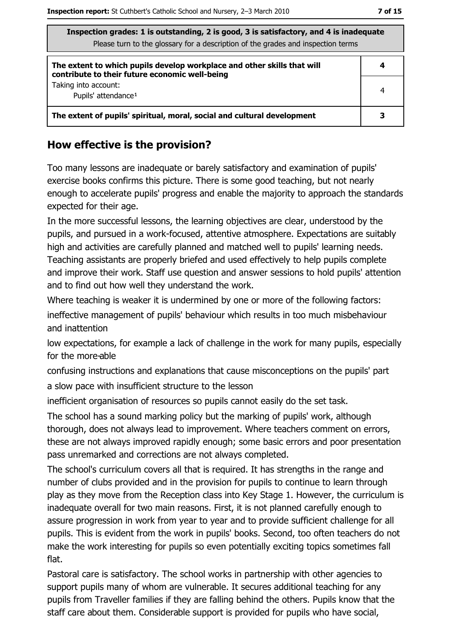|  | ۰. | . .<br>۰. |
|--|----|-----------|
|--|----|-----------|

| Inspection grades: 1 is outstanding, 2 is good, 3 is satisfactory, and 4 is inadequate<br>Please turn to the glossary for a description of the grades and inspection terms |   |  |  |  |
|----------------------------------------------------------------------------------------------------------------------------------------------------------------------------|---|--|--|--|
| The extent to which pupils develop workplace and other skills that will<br>contribute to their future economic well-being                                                  | 4 |  |  |  |
| Taking into account:<br>Pupils' attendance <sup>1</sup>                                                                                                                    | 4 |  |  |  |
| The extent of pupils' spiritual, moral, social and cultural development                                                                                                    |   |  |  |  |

#### How effective is the provision?

Too many lessons are inadequate or barely satisfactory and examination of pupils' exercise books confirms this picture. There is some good teaching, but not nearly enough to accelerate pupils' progress and enable the majority to approach the standards expected for their age.

In the more successful lessons, the learning objectives are clear, understood by the pupils, and pursued in a work-focused, attentive atmosphere. Expectations are suitably high and activities are carefully planned and matched well to pupils' learning needs. Teaching assistants are properly briefed and used effectively to help pupils complete and improve their work. Staff use question and answer sessions to hold pupils' attention and to find out how well they understand the work.

Where teaching is weaker it is undermined by one or more of the following factors:

ineffective management of pupils' behaviour which results in too much misbehaviour and inattention

low expectations, for example a lack of challenge in the work for many pupils, especially for the more-able

confusing instructions and explanations that cause misconceptions on the pupils' part a slow pace with insufficient structure to the lesson

inefficient organisation of resources so pupils cannot easily do the set task.

The school has a sound marking policy but the marking of pupils' work, although thorough, does not always lead to improvement. Where teachers comment on errors, these are not always improved rapidly enough; some basic errors and poor presentation pass unremarked and corrections are not always completed.

The school's curriculum covers all that is required. It has strengths in the range and number of clubs provided and in the provision for pupils to continue to learn through play as they move from the Reception class into Key Stage 1. However, the curriculum is inadequate overall for two main reasons. First, it is not planned carefully enough to assure progression in work from year to year and to provide sufficient challenge for all pupils. This is evident from the work in pupils' books. Second, too often teachers do not make the work interesting for pupils so even potentially exciting topics sometimes fall flat.

Pastoral care is satisfactory. The school works in partnership with other agencies to support pupils many of whom are vulnerable. It secures additional teaching for any pupils from Traveller families if they are falling behind the others. Pupils know that the staff care about them. Considerable support is provided for pupils who have social,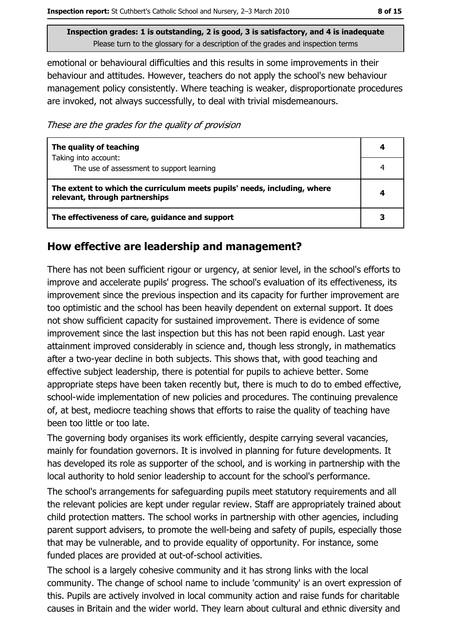8 of 15

Inspection grades: 1 is outstanding, 2 is good, 3 is satisfactory, and 4 is inadequate Please turn to the glossary for a description of the grades and inspection terms

emotional or behavioural difficulties and this results in some improvements in their behaviour and attitudes. However, teachers do not apply the school's new behaviour management policy consistently. Where teaching is weaker, disproportionate procedures are invoked, not always successfully, to deal with trivial misdemeanours.

These are the grades for the quality of provision

| The quality of teaching                                                                                    |  |
|------------------------------------------------------------------------------------------------------------|--|
| Taking into account:<br>The use of assessment to support learning                                          |  |
| The extent to which the curriculum meets pupils' needs, including, where<br>relevant, through partnerships |  |
| The effectiveness of care, guidance and support                                                            |  |

#### How effective are leadership and management?

There has not been sufficient rigour or urgency, at senior level, in the school's efforts to improve and accelerate pupils' progress. The school's evaluation of its effectiveness, its improvement since the previous inspection and its capacity for further improvement are too optimistic and the school has been heavily dependent on external support. It does not show sufficient capacity for sustained improvement. There is evidence of some improvement since the last inspection but this has not been rapid enough. Last year attainment improved considerably in science and, though less strongly, in mathematics after a two-year decline in both subjects. This shows that, with good teaching and effective subject leadership, there is potential for pupils to achieve better. Some appropriate steps have been taken recently but, there is much to do to embed effective, school-wide implementation of new policies and procedures. The continuing prevalence of, at best, mediocre teaching shows that efforts to raise the quality of teaching have been too little or too late.

The governing body organises its work efficiently, despite carrying several vacancies, mainly for foundation governors. It is involved in planning for future developments. It has developed its role as supporter of the school, and is working in partnership with the local authority to hold senior leadership to account for the school's performance.

The school's arrangements for safeguarding pupils meet statutory requirements and all the relevant policies are kept under regular review. Staff are appropriately trained about child protection matters. The school works in partnership with other agencies, including parent support advisers, to promote the well-being and safety of pupils, especially those that may be vulnerable, and to provide equality of opportunity. For instance, some funded places are provided at out-of-school activities.

The school is a largely cohesive community and it has strong links with the local community. The change of school name to include 'community' is an overt expression of this. Pupils are actively involved in local community action and raise funds for charitable causes in Britain and the wider world. They learn about cultural and ethnic diversity and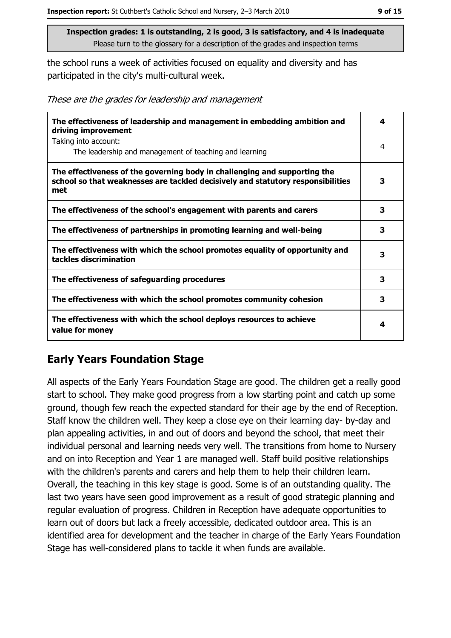the school runs a week of activities focused on equality and diversity and has participated in the city's multi-cultural week.

|  |  |  | These are the grades for leadership and management |
|--|--|--|----------------------------------------------------|
|  |  |  |                                                    |

| The effectiveness of leadership and management in embedding ambition and<br>driving improvement                                                                     | 4 |
|---------------------------------------------------------------------------------------------------------------------------------------------------------------------|---|
| Taking into account:<br>The leadership and management of teaching and learning                                                                                      | 4 |
| The effectiveness of the governing body in challenging and supporting the<br>school so that weaknesses are tackled decisively and statutory responsibilities<br>met | 3 |
| The effectiveness of the school's engagement with parents and carers                                                                                                | 3 |
| The effectiveness of partnerships in promoting learning and well-being                                                                                              | 3 |
| The effectiveness with which the school promotes equality of opportunity and<br>tackles discrimination                                                              | 3 |
| The effectiveness of safeguarding procedures                                                                                                                        | 3 |
| The effectiveness with which the school promotes community cohesion                                                                                                 | з |
| The effectiveness with which the school deploys resources to achieve<br>value for money                                                                             | 4 |

## **Early Years Foundation Stage**

All aspects of the Early Years Foundation Stage are good. The children get a really good start to school. They make good progress from a low starting point and catch up some ground, though few reach the expected standard for their age by the end of Reception. Staff know the children well. They keep a close eye on their learning day- by-day and plan appealing activities, in and out of doors and beyond the school, that meet their individual personal and learning needs very well. The transitions from home to Nursery and on into Reception and Year 1 are managed well. Staff build positive relationships with the children's parents and carers and help them to help their children learn. Overall, the teaching in this key stage is good. Some is of an outstanding quality. The last two years have seen good improvement as a result of good strategic planning and regular evaluation of progress. Children in Reception have adequate opportunities to learn out of doors but lack a freely accessible, dedicated outdoor area. This is an identified area for development and the teacher in charge of the Early Years Foundation Stage has well-considered plans to tackle it when funds are available.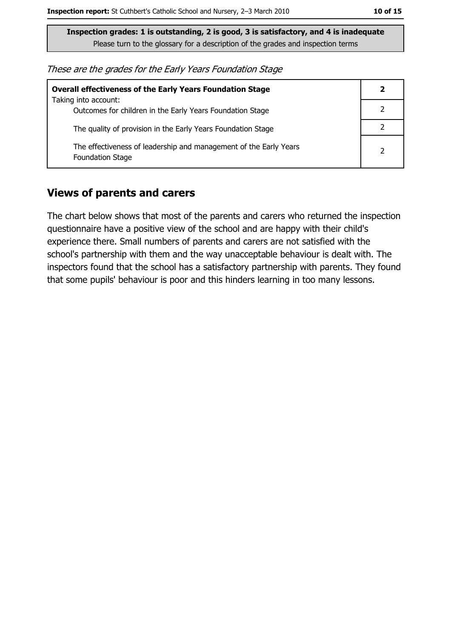These are the grades for the Early Years Foundation Stage

| <b>Overall effectiveness of the Early Years Foundation Stage</b>                             | 2              |
|----------------------------------------------------------------------------------------------|----------------|
| Taking into account:<br>Outcomes for children in the Early Years Foundation Stage            |                |
| The quality of provision in the Early Years Foundation Stage                                 |                |
| The effectiveness of leadership and management of the Early Years<br><b>Foundation Stage</b> | $\overline{2}$ |

#### **Views of parents and carers**

The chart below shows that most of the parents and carers who returned the inspection questionnaire have a positive view of the school and are happy with their child's experience there. Small numbers of parents and carers are not satisfied with the school's partnership with them and the way unacceptable behaviour is dealt with. The inspectors found that the school has a satisfactory partnership with parents. They found that some pupils' behaviour is poor and this hinders learning in too many lessons.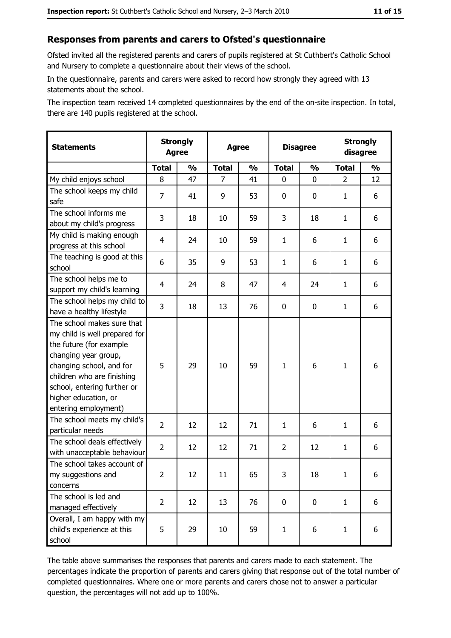#### Responses from parents and carers to Ofsted's questionnaire

Ofsted invited all the registered parents and carers of pupils registered at St Cuthbert's Catholic School and Nursery to complete a questionnaire about their views of the school.

In the questionnaire, parents and carers were asked to record how strongly they agreed with 13 statements about the school.

The inspection team received 14 completed questionnaires by the end of the on-site inspection. In total, there are 140 pupils registered at the school.

| <b>Statements</b>                                                                                                                                                                                                                                       | <b>Strongly</b><br><b>Agree</b> |               | <b>Agree</b> |               | <b>Disagree</b> |               | <b>Strongly</b><br>disagree |               |
|---------------------------------------------------------------------------------------------------------------------------------------------------------------------------------------------------------------------------------------------------------|---------------------------------|---------------|--------------|---------------|-----------------|---------------|-----------------------------|---------------|
|                                                                                                                                                                                                                                                         | <b>Total</b>                    | $\frac{1}{2}$ | <b>Total</b> | $\frac{0}{0}$ | <b>Total</b>    | $\frac{1}{2}$ | <b>Total</b>                | $\frac{1}{2}$ |
| My child enjoys school                                                                                                                                                                                                                                  | 8                               | 47            | 7            | 41            | 0               | 0             | $\overline{2}$              | 12            |
| The school keeps my child<br>safe                                                                                                                                                                                                                       | $\overline{7}$                  | 41            | 9            | 53            | $\mathbf 0$     | 0             | 1                           | 6             |
| The school informs me<br>about my child's progress                                                                                                                                                                                                      | 3                               | 18            | 10           | 59            | 3               | 18            | 1                           | 6             |
| My child is making enough<br>progress at this school                                                                                                                                                                                                    | 4                               | 24            | 10           | 59            | $\mathbf{1}$    | 6             | 1                           | 6             |
| The teaching is good at this<br>school                                                                                                                                                                                                                  | 6                               | 35            | 9            | 53            | $\mathbf{1}$    | 6             | 1                           | 6             |
| The school helps me to<br>support my child's learning                                                                                                                                                                                                   | $\overline{4}$                  | 24            | 8            | 47            | 4               | 24            | 1                           | 6             |
| The school helps my child to<br>have a healthy lifestyle                                                                                                                                                                                                | 3                               | 18            | 13           | 76            | $\mathbf 0$     | 0             | 1                           | 6             |
| The school makes sure that<br>my child is well prepared for<br>the future (for example<br>changing year group,<br>changing school, and for<br>children who are finishing<br>school, entering further or<br>higher education, or<br>entering employment) | 5                               | 29            | 10           | 59            | $\mathbf{1}$    | 6             | 1                           | 6             |
| The school meets my child's<br>particular needs                                                                                                                                                                                                         | $\overline{2}$                  | 12            | 12           | 71            | $\mathbf{1}$    | 6             | 1                           | 6             |
| The school deals effectively<br>with unacceptable behaviour                                                                                                                                                                                             | $\overline{2}$                  | 12            | 12           | 71            | $\overline{2}$  | 12            | $\mathbf{1}$                | 6             |
| The school takes account of<br>my suggestions and<br>concerns                                                                                                                                                                                           | 2                               | 12            | 11           | 65            | 3               | 18            | $\mathbf{1}$                | 6             |
| The school is led and<br>managed effectively                                                                                                                                                                                                            | $\overline{2}$                  | 12            | 13           | 76            | $\mathbf 0$     | 0             | $\mathbf{1}$                | 6             |
| Overall, I am happy with my<br>child's experience at this<br>school                                                                                                                                                                                     | 5                               | 29            | 10           | 59            | $\mathbf{1}$    | 6             | $\mathbf{1}$                | 6             |

The table above summarises the responses that parents and carers made to each statement. The percentages indicate the proportion of parents and carers giving that response out of the total number of completed questionnaires. Where one or more parents and carers chose not to answer a particular question, the percentages will not add up to 100%.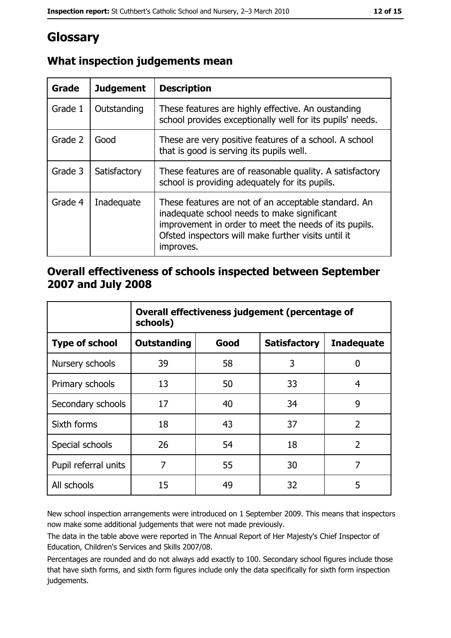## Glossary

| <b>Grade</b> | <b>Judgement</b> | <b>Description</b>                                                                                                                                                                                                               |
|--------------|------------------|----------------------------------------------------------------------------------------------------------------------------------------------------------------------------------------------------------------------------------|
| Grade 1      | Outstanding      | These features are highly effective. An oustanding<br>school provides exceptionally well for its pupils' needs.                                                                                                                  |
| Grade 2      | Good             | These are very positive features of a school. A school<br>that is good is serving its pupils well.                                                                                                                               |
| Grade 3      | Satisfactory     | These features are of reasonable quality. A satisfactory<br>school is providing adequately for its pupils.                                                                                                                       |
| Grade 4      | Inadequate       | These features are not of an acceptable standard. An<br>inadequate school needs to make significant<br>improvement in order to meet the needs of its pupils.<br>Ofsted inspectors will make further visits until it<br>improves. |

## What inspection judgements mean

#### Overall effectiveness of schools inspected between September 2007 and July 2008

|                       | Overall effectiveness judgement (percentage of<br>schools) |      |                     |                   |
|-----------------------|------------------------------------------------------------|------|---------------------|-------------------|
| <b>Type of school</b> | Outstanding                                                | Good | <b>Satisfactory</b> | <b>Inadequate</b> |
| Nursery schools       | 39                                                         | 58   | 3                   | 0                 |
| Primary schools       | 13                                                         | 50   | 33                  | 4                 |
| Secondary schools     | 17                                                         | 40   | 34                  | 9                 |
| Sixth forms           | 18                                                         | 43   | 37                  | $\overline{2}$    |
| Special schools       | 26                                                         | 54   | 18                  | $\overline{2}$    |
| Pupil referral units  | 7                                                          | 55   | 30                  | 7                 |
| All schools           | 15                                                         | 49   | 32                  | 5                 |

New school inspection arrangements were introduced on 1 September 2009. This means that inspectors now make some additional judgements that were not made previously.

The data in the table above were reported in The Annual Report of Her Majesty's Chief Inspector of Education, Children's Services and Skills 2007/08.

Percentages are rounded and do not always add exactly to 100. Secondary school figures include those that have sixth forms, and sixth form figures include only the data specifically for sixth form inspection judgements.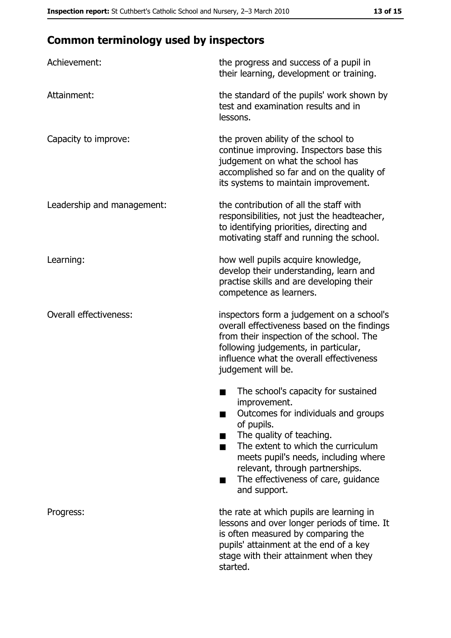# **Common terminology used by inspectors**

| Achievement:                  | the progress and success of a pupil in<br>their learning, development or training.                                                                                                                                                                                                                           |  |
|-------------------------------|--------------------------------------------------------------------------------------------------------------------------------------------------------------------------------------------------------------------------------------------------------------------------------------------------------------|--|
| Attainment:                   | the standard of the pupils' work shown by<br>test and examination results and in<br>lessons.                                                                                                                                                                                                                 |  |
| Capacity to improve:          | the proven ability of the school to<br>continue improving. Inspectors base this<br>judgement on what the school has<br>accomplished so far and on the quality of<br>its systems to maintain improvement.                                                                                                     |  |
| Leadership and management:    | the contribution of all the staff with<br>responsibilities, not just the headteacher,<br>to identifying priorities, directing and<br>motivating staff and running the school.                                                                                                                                |  |
| Learning:                     | how well pupils acquire knowledge,<br>develop their understanding, learn and<br>practise skills and are developing their<br>competence as learners.                                                                                                                                                          |  |
| <b>Overall effectiveness:</b> | inspectors form a judgement on a school's<br>overall effectiveness based on the findings<br>from their inspection of the school. The<br>following judgements, in particular,<br>influence what the overall effectiveness<br>judgement will be.                                                               |  |
|                               | The school's capacity for sustained<br>improvement.<br>Outcomes for individuals and groups<br>of pupils.<br>The quality of teaching.<br>The extent to which the curriculum<br>meets pupil's needs, including where<br>relevant, through partnerships.<br>The effectiveness of care, guidance<br>and support. |  |
| Progress:                     | the rate at which pupils are learning in<br>lessons and over longer periods of time. It<br>is often measured by comparing the<br>pupils' attainment at the end of a key<br>stage with their attainment when they<br>started.                                                                                 |  |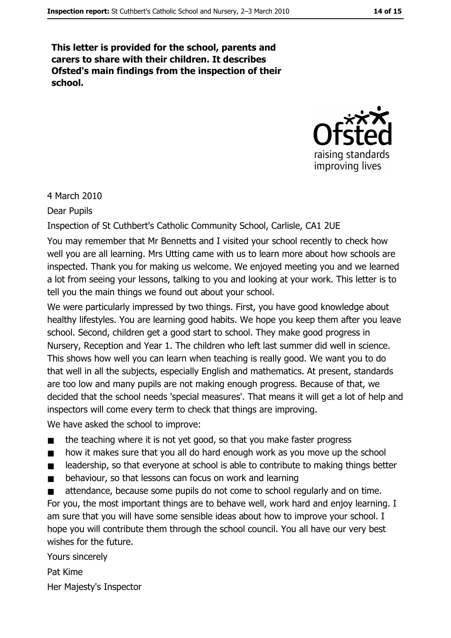This letter is provided for the school, parents and carers to share with their children. It describes Ofsted's main findings from the inspection of their school.



4 March 2010

**Dear Pupils** 

Inspection of St Cuthbert's Catholic Community School, Carlisle, CA1 2UE

You may remember that Mr Bennetts and I visited your school recently to check how well you are all learning. Mrs Utting came with us to learn more about how schools are inspected. Thank you for making us welcome. We enjoyed meeting you and we learned a lot from seeing your lessons, talking to you and looking at your work. This letter is to tell you the main things we found out about your school.

We were particularly impressed by two things. First, you have good knowledge about healthy lifestyles. You are learning good habits. We hope you keep them after you leave school. Second, children get a good start to school. They make good progress in Nursery, Reception and Year 1. The children who left last summer did well in science. This shows how well you can learn when teaching is really good. We want you to do that well in all the subjects, especially English and mathematics. At present, standards are too low and many pupils are not making enough progress. Because of that, we decided that the school needs 'special measures'. That means it will get a lot of help and inspectors will come every term to check that things are improving.

We have asked the school to improve:

- the teaching where it is not yet good, so that you make faster progress  $\blacksquare$
- how it makes sure that you all do hard enough work as you move up the school  $\blacksquare$
- leadership, so that everyone at school is able to contribute to making things better  $\blacksquare$
- behaviour, so that lessons can focus on work and learning  $\blacksquare$

attendance, because some pupils do not come to school regularly and on time.  $\blacksquare$ For you, the most important things are to behave well, work hard and enjoy learning. I am sure that you will have some sensible ideas about how to improve your school. I hope you will contribute them through the school council. You all have our very best wishes for the future.

Yours sincerely Pat Kime Her Majesty's Inspector